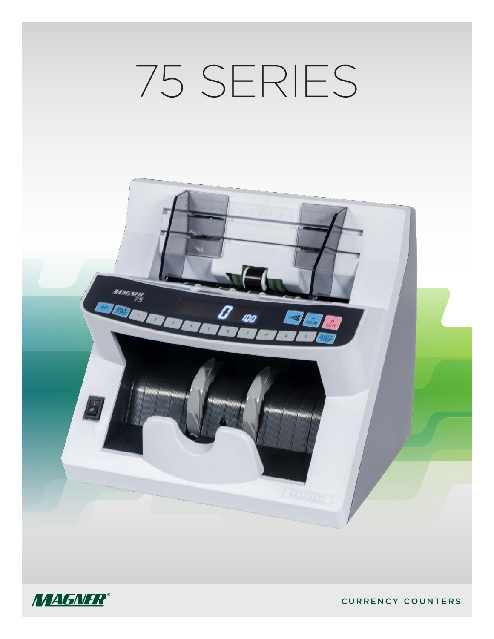# 75 SERIES





CURRENCY COUNTERS